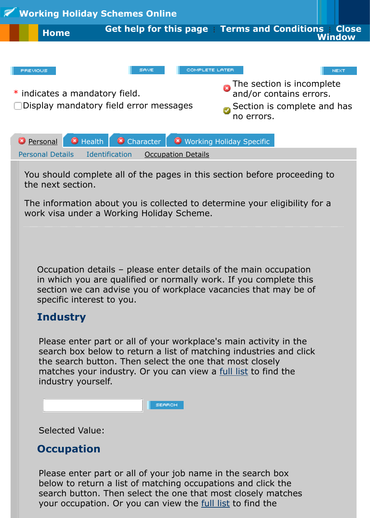Display mandatory field error messages





You should complete all of the pages in this section before proceeding the next section.

The information about you is collected to determine your eligibility for work visa under a Working Holiday Scheme.

Occupation details – please enter details of the main occupation in which you are qualified or normally work. If you complete this section we can advise you of workplace vacancies that may be of specific interest to you.

## **Industry**

Please enter part or all of your workplace's main activity in the search box below to return a list of matching industries and click the search button. Then select the one that most closely matches your industry. Or you can view a full list to find the industry yourself.

|  | <b>SEARCH</b> |
|--|---------------|
|  |               |

Selected Value:

## **Occupation**

Please enter part or all of your job name i[n the se](http://glossary.immigration.govt.nz/FullIndustryList.htm)arch box below to return a list of matching occupations and click the search button. Then select the one that most closely matches your occupation. Or you can view the full list to find the